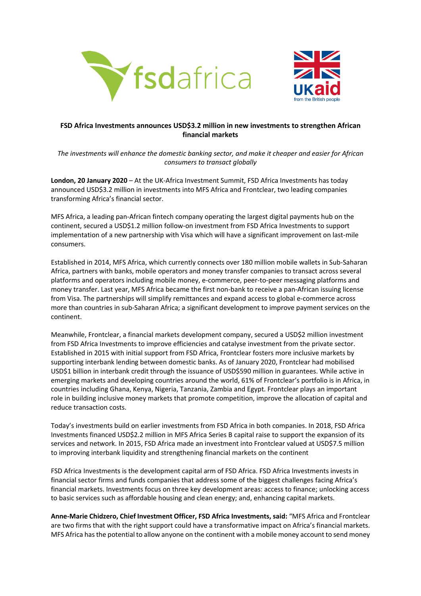



## **FSD Africa Investments announces USD\$3.2 million in new investments to strengthen African financial markets**

*The investments will enhance the domestic banking sector, and make it cheaper and easier for African consumers to transact globally*

**London, 20 January 2020** – At the UK-Africa Investment Summit, FSD Africa Investments has today announced USD\$3.2 million in investments into MFS Africa and Frontclear, two leading companies transforming Africa's financial sector.

MFS Africa, a leading pan-African fintech company operating the largest digital payments hub on the continent, secured a USD\$1.2 million follow-on investment from FSD Africa Investments to support implementation of a new partnership with Visa which will have a significant improvement on last-mile consumers.

Established in 2014, MFS Africa, which currently connects over 180 million mobile wallets in Sub-Saharan Africa, partners with banks, mobile operators and money transfer companies to transact across several platforms and operators including mobile money, e-commerce, peer-to-peer messaging platforms and money transfer. Last year, MFS Africa became the first non-bank to receive a pan-African issuing license from Visa. The partnerships will simplify remittances and expand access to global e-commerce across more than countries in sub-Saharan Africa; a significant development to improve payment services on the continent.

Meanwhile, Frontclear, a financial markets development company, secured a USD\$2 million investment from FSD Africa Investments to improve efficiencies and catalyse investment from the private sector. Established in 2015 with initial support from FSD Africa, Frontclear fosters more inclusive markets by supporting interbank lending between domestic banks. As of January 2020, Frontclear had mobilised USD\$1 billion in interbank credit through the issuance of USD\$590 million in guarantees. While active in emerging markets and developing countries around the world, 61% of Frontclear's portfolio is in Africa, in countries including Ghana, Kenya, Nigeria, Tanzania, Zambia and Egypt. Frontclear plays an important role in building inclusive money markets that promote competition, improve the allocation of capital and reduce transaction costs.

Today's investments build on earlier investments from FSD Africa in both companies. In 2018, FSD Africa Investments financed USD\$2.2 million in MFS Africa Series B capital raise to support the expansion of its services and network. In 2015, FSD Africa made an investment into Frontclear valued at USD\$7.5 million to improving interbank liquidity and strengthening financial markets on the continent

FSD Africa Investments is the development capital arm of FSD Africa. FSD Africa Investments invests in financial sector firms and funds companies that address some of the biggest challenges facing Africa's financial markets. Investments focus on three key development areas: access to finance; unlocking access to basic services such as affordable housing and clean energy; and, enhancing capital markets.

**Anne-Marie Chidzero, Chief Investment Officer, FSD Africa Investments, said:** "MFS Africa and Frontclear are two firms that with the right support could have a transformative impact on Africa's financial markets. MFS Africa has the potential to allow anyone on the continent with a mobile money account to send money